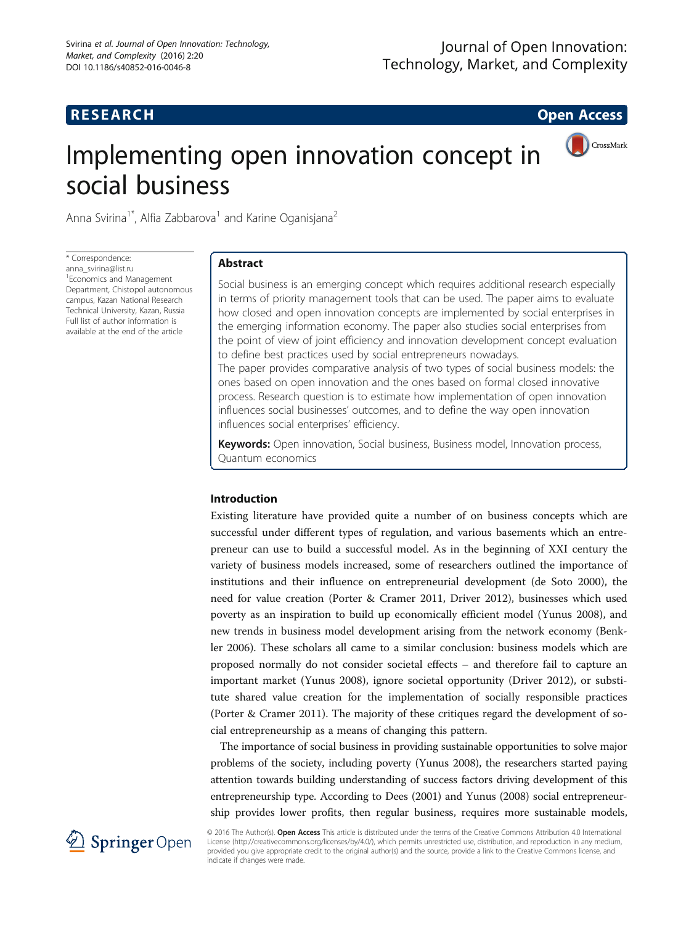# **RESEARCH RESEARCH CONSUMING ACCESS**

# Implementing open innovation concept in social business



Anna Svirina<sup>1\*</sup>, Alfia Zabbarova<sup>1</sup> and Karine Oganisjana<sup>2</sup>

\* Correspondence: [anna\\_svirina@list.ru](mailto:anna_svirina@list.ru) <sup>1</sup> Economics and Management Department, Chistopol autonomous campus, Kazan National Research Technical University, Kazan, Russia Full list of author information is available at the end of the article

# Abstract

Social business is an emerging concept which requires additional research especially in terms of priority management tools that can be used. The paper aims to evaluate how closed and open innovation concepts are implemented by social enterprises in the emerging information economy. The paper also studies social enterprises from the point of view of joint efficiency and innovation development concept evaluation to define best practices used by social entrepreneurs nowadays. The paper provides comparative analysis of two types of social business models: the ones based on open innovation and the ones based on formal closed innovative process. Research question is to estimate how implementation of open innovation influences social businesses' outcomes, and to define the way open innovation influences social enterprises' efficiency.

Keywords: Open innovation, Social business, Business model, Innovation process, Quantum economics

# Introduction

Existing literature have provided quite a number of on business concepts which are successful under different types of regulation, and various basements which an entrepreneur can use to build a successful model. As in the beginning of XXI century the variety of business models increased, some of researchers outlined the importance of institutions and their influence on entrepreneurial development (de Soto [2000\)](#page-8-0), the need for value creation (Porter & Cramer [2011](#page-8-0), Driver [2012](#page-8-0)), businesses which used poverty as an inspiration to build up economically efficient model (Yunus [2008](#page-9-0)), and new trends in business model development arising from the network economy (Benkler [2006\)](#page-8-0). These scholars all came to a similar conclusion: business models which are proposed normally do not consider societal effects – and therefore fail to capture an important market (Yunus [2008](#page-9-0)), ignore societal opportunity (Driver [2012](#page-8-0)), or substitute shared value creation for the implementation of socially responsible practices (Porter & Cramer [2011](#page-8-0)). The majority of these critiques regard the development of social entrepreneurship as a means of changing this pattern.

The importance of social business in providing sustainable opportunities to solve major problems of the society, including poverty (Yunus [2008](#page-9-0)), the researchers started paying attention towards building understanding of success factors driving development of this entrepreneurship type. According to Dees ([2001\)](#page-8-0) and Yunus [\(2008](#page-9-0)) social entrepreneurship provides lower profits, then regular business, requires more sustainable models,



© 2016 The Author(s). Open Access This article is distributed under the terms of the Creative Commons Attribution 4.0 International License [\(http://creativecommons.org/licenses/by/4.0/](http://creativecommons.org/licenses/by/4.0/)), which permits unrestricted use, distribution, and reproduction in any medium, provided you give appropriate credit to the original author(s) and the source, provide a link to the Creative Commons license, and indicate if changes were made.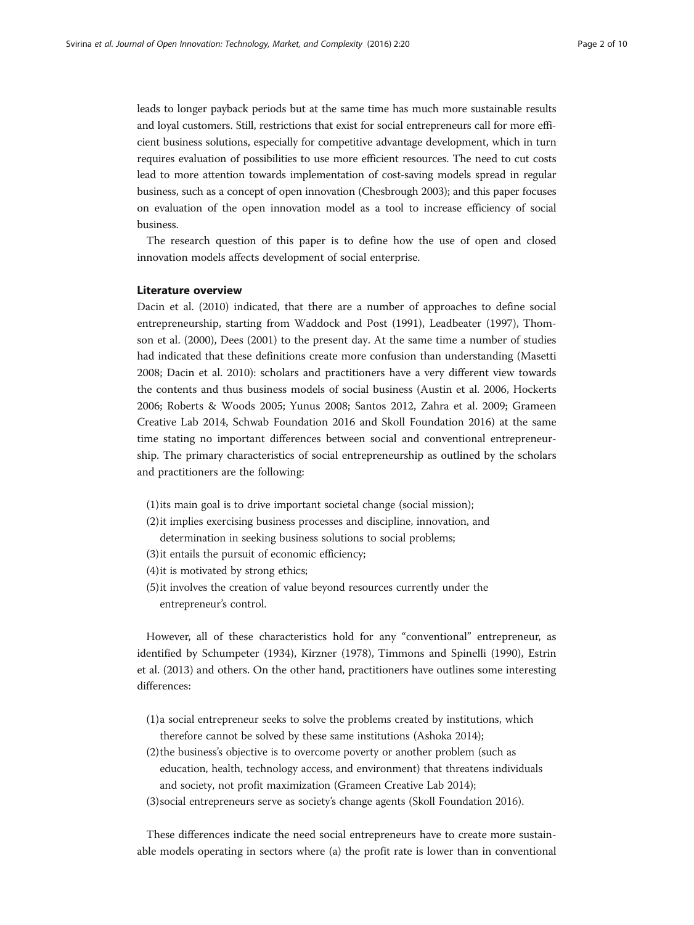leads to longer payback periods but at the same time has much more sustainable results and loyal customers. Still, restrictions that exist for social entrepreneurs call for more efficient business solutions, especially for competitive advantage development, which in turn requires evaluation of possibilities to use more efficient resources. The need to cut costs lead to more attention towards implementation of cost-saving models spread in regular business, such as a concept of open innovation (Chesbrough [2003\)](#page-8-0); and this paper focuses on evaluation of the open innovation model as a tool to increase efficiency of social business.

The research question of this paper is to define how the use of open and closed innovation models affects development of social enterprise.

#### Literature overview

Dacin et al. ([2010](#page-8-0)) indicated, that there are a number of approaches to define social entrepreneurship, starting from Waddock and Post ([1991](#page-9-0)), Leadbeater ([1997](#page-8-0)), Thomson et al. [\(2000\)](#page-9-0), Dees [\(2001\)](#page-8-0) to the present day. At the same time a number of studies had indicated that these definitions create more confusion than understanding (Masetti [2008](#page-8-0); Dacin et al. [2010](#page-8-0)): scholars and practitioners have a very different view towards the contents and thus business models of social business (Austin et al. [2006,](#page-8-0) Hockerts [2006](#page-8-0); Roberts & Woods [2005;](#page-8-0) Yunus [2008](#page-9-0); Santos [2012](#page-8-0), Zahra et al. [2009;](#page-9-0) Grameen Creative Lab [2014,](#page-8-0) Schwab Foundation [2016](#page-9-0) and Skoll Foundation [2016\)](#page-9-0) at the same time stating no important differences between social and conventional entrepreneurship. The primary characteristics of social entrepreneurship as outlined by the scholars and practitioners are the following:

- (1)its main goal is to drive important societal change (social mission);
- (2)it implies exercising business processes and discipline, innovation, and determination in seeking business solutions to social problems;
- (3)it entails the pursuit of economic efficiency;
- (4)it is motivated by strong ethics;
- (5)it involves the creation of value beyond resources currently under the entrepreneur's control.

However, all of these characteristics hold for any "conventional" entrepreneur, as identified by Schumpeter ([1934](#page-9-0)), Kirzner [\(1978\)](#page-8-0), Timmons and Spinelli ([1990](#page-9-0)), Estrin et al. [\(2013\)](#page-8-0) and others. On the other hand, practitioners have outlines some interesting differences:

- (1)a social entrepreneur seeks to solve the problems created by institutions, which therefore cannot be solved by these same institutions (Ashoka [2014](#page-8-0));
- (2)the business's objective is to overcome poverty or another problem (such as education, health, technology access, and environment) that threatens individuals and society, not profit maximization (Grameen Creative Lab [2014](#page-8-0));
- (3)social entrepreneurs serve as society's change agents (Skoll Foundation [2016\)](#page-9-0).

These differences indicate the need social entrepreneurs have to create more sustainable models operating in sectors where (a) the profit rate is lower than in conventional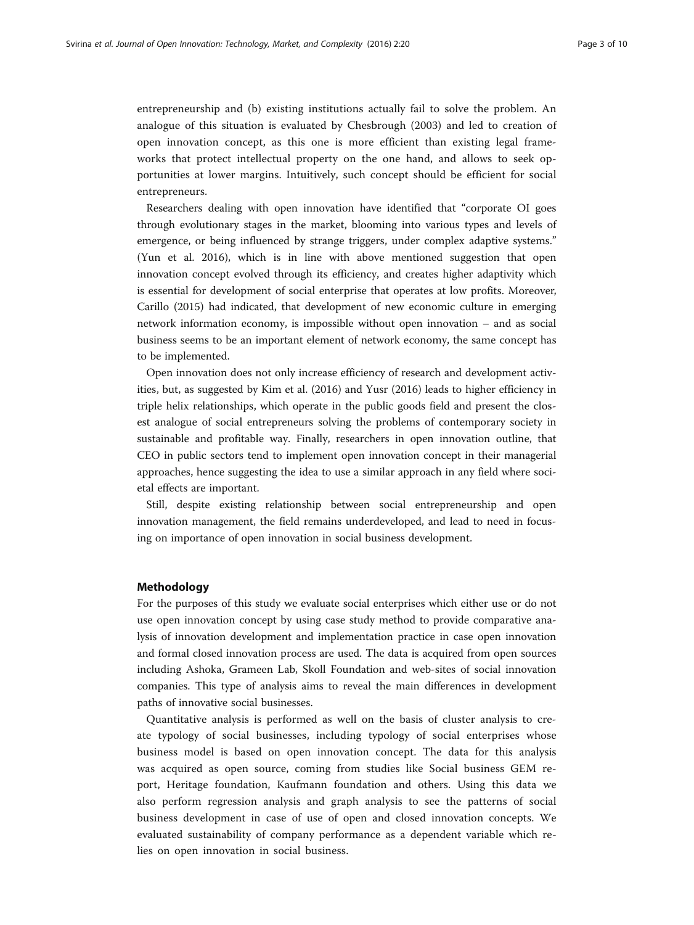entrepreneurship and (b) existing institutions actually fail to solve the problem. An analogue of this situation is evaluated by Chesbrough ([2003\)](#page-8-0) and led to creation of open innovation concept, as this one is more efficient than existing legal frameworks that protect intellectual property on the one hand, and allows to seek opportunities at lower margins. Intuitively, such concept should be efficient for social entrepreneurs.

Researchers dealing with open innovation have identified that "corporate OI goes through evolutionary stages in the market, blooming into various types and levels of emergence, or being influenced by strange triggers, under complex adaptive systems." (Yun et al. [2016\)](#page-9-0), which is in line with above mentioned suggestion that open innovation concept evolved through its efficiency, and creates higher adaptivity which is essential for development of social enterprise that operates at low profits. Moreover, Carillo [\(2015\)](#page-8-0) had indicated, that development of new economic culture in emerging network information economy, is impossible without open innovation – and as social business seems to be an important element of network economy, the same concept has to be implemented.

Open innovation does not only increase efficiency of research and development activities, but, as suggested by Kim et al. [\(2016\)](#page-8-0) and Yusr [\(2016\)](#page-9-0) leads to higher efficiency in triple helix relationships, which operate in the public goods field and present the closest analogue of social entrepreneurs solving the problems of contemporary society in sustainable and profitable way. Finally, researchers in open innovation outline, that CEO in public sectors tend to implement open innovation concept in their managerial approaches, hence suggesting the idea to use a similar approach in any field where societal effects are important.

Still, despite existing relationship between social entrepreneurship and open innovation management, the field remains underdeveloped, and lead to need in focusing on importance of open innovation in social business development.

### Methodology

For the purposes of this study we evaluate social enterprises which either use or do not use open innovation concept by using case study method to provide comparative analysis of innovation development and implementation practice in case open innovation and formal closed innovation process are used. The data is acquired from open sources including Ashoka, Grameen Lab, Skoll Foundation and web-sites of social innovation companies. This type of analysis aims to reveal the main differences in development paths of innovative social businesses.

Quantitative analysis is performed as well on the basis of cluster analysis to create typology of social businesses, including typology of social enterprises whose business model is based on open innovation concept. The data for this analysis was acquired as open source, coming from studies like Social business GEM report, Heritage foundation, Kaufmann foundation and others. Using this data we also perform regression analysis and graph analysis to see the patterns of social business development in case of use of open and closed innovation concepts. We evaluated sustainability of company performance as a dependent variable which relies on open innovation in social business.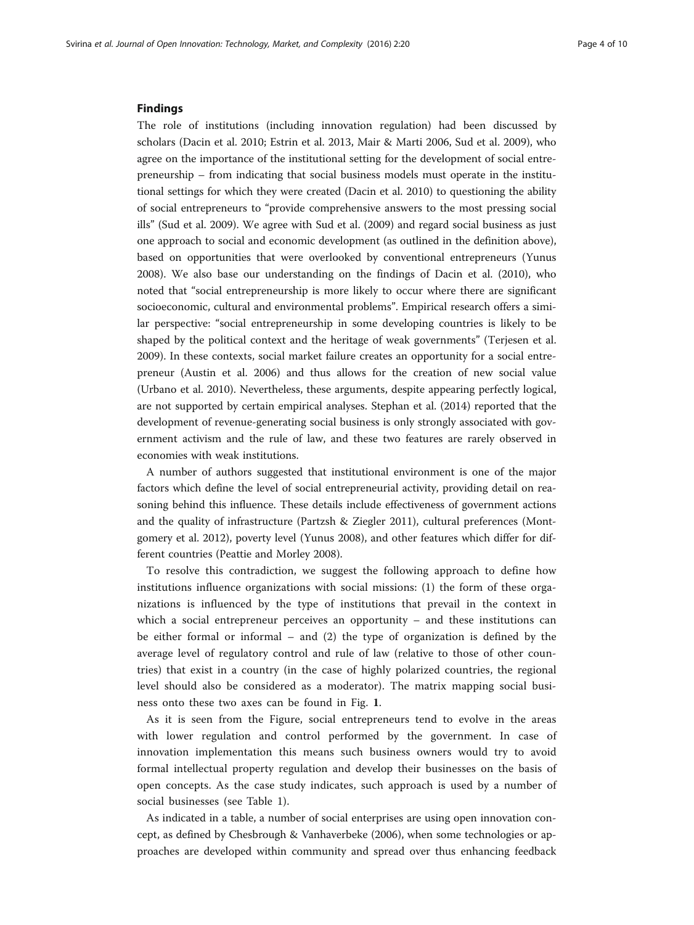#### Findings

The role of institutions (including innovation regulation) had been discussed by scholars (Dacin et al. [2010](#page-8-0); Estrin et al. [2013](#page-8-0), Mair & Marti [2006,](#page-8-0) Sud et al. [2009\)](#page-9-0), who agree on the importance of the institutional setting for the development of social entrepreneurship – from indicating that social business models must operate in the institutional settings for which they were created (Dacin et al. [2010\)](#page-8-0) to questioning the ability of social entrepreneurs to "provide comprehensive answers to the most pressing social ills" (Sud et al. [2009\)](#page-9-0). We agree with Sud et al. ([2009](#page-9-0)) and regard social business as just one approach to social and economic development (as outlined in the definition above), based on opportunities that were overlooked by conventional entrepreneurs (Yunus [2008](#page-9-0)). We also base our understanding on the findings of Dacin et al. ([2010](#page-8-0)), who noted that "social entrepreneurship is more likely to occur where there are significant socioeconomic, cultural and environmental problems". Empirical research offers a similar perspective: "social entrepreneurship in some developing countries is likely to be shaped by the political context and the heritage of weak governments" (Terjesen et al. [2009](#page-9-0)). In these contexts, social market failure creates an opportunity for a social entrepreneur (Austin et al. [2006](#page-8-0)) and thus allows for the creation of new social value (Urbano et al. [2010](#page-9-0)). Nevertheless, these arguments, despite appearing perfectly logical, are not supported by certain empirical analyses. Stephan et al. [\(2014\)](#page-9-0) reported that the development of revenue-generating social business is only strongly associated with government activism and the rule of law, and these two features are rarely observed in economies with weak institutions.

A number of authors suggested that institutional environment is one of the major factors which define the level of social entrepreneurial activity, providing detail on reasoning behind this influence. These details include effectiveness of government actions and the quality of infrastructure (Partzsh & Ziegler [2011](#page-8-0)), cultural preferences (Montgomery et al. [2012\)](#page-8-0), poverty level (Yunus [2008\)](#page-9-0), and other features which differ for different countries (Peattie and Morley [2008\)](#page-8-0).

To resolve this contradiction, we suggest the following approach to define how institutions influence organizations with social missions: (1) the form of these organizations is influenced by the type of institutions that prevail in the context in which a social entrepreneur perceives an opportunity – and these institutions can be either formal or informal – and (2) the type of organization is defined by the average level of regulatory control and rule of law (relative to those of other countries) that exist in a country (in the case of highly polarized countries, the regional level should also be considered as a moderator). The matrix mapping social business onto these two axes can be found in Fig. [1](#page-4-0).

As it is seen from the Figure, social entrepreneurs tend to evolve in the areas with lower regulation and control performed by the government. In case of innovation implementation this means such business owners would try to avoid formal intellectual property regulation and develop their businesses on the basis of open concepts. As the case study indicates, such approach is used by a number of social businesses (see Table [1](#page-4-0)).

As indicated in a table, a number of social enterprises are using open innovation concept, as defined by Chesbrough & Vanhaverbeke ([2006](#page-8-0)), when some technologies or approaches are developed within community and spread over thus enhancing feedback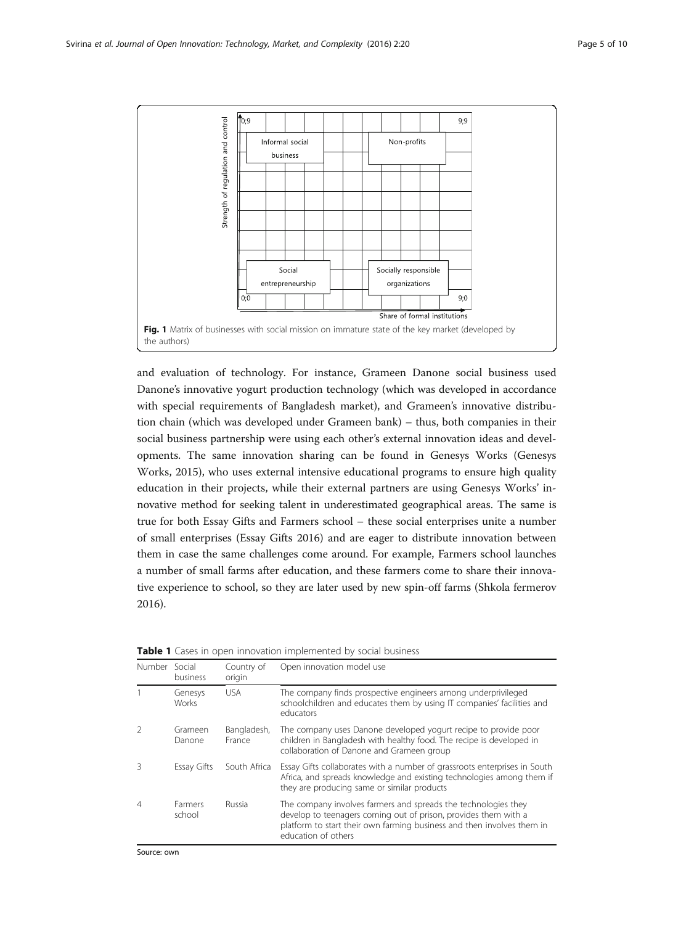<span id="page-4-0"></span>

and evaluation of technology. For instance, Grameen Danone social business used Danone's innovative yogurt production technology (which was developed in accordance with special requirements of Bangladesh market), and Grameen's innovative distribution chain (which was developed under Grameen bank) – thus, both companies in their social business partnership were using each other's external innovation ideas and developments. The same innovation sharing can be found in Genesys Works (Genesys Works, [2015](#page-8-0)), who uses external intensive educational programs to ensure high quality education in their projects, while their external partners are using Genesys Works' innovative method for seeking talent in underestimated geographical areas. The same is true for both Essay Gifts and Farmers school – these social enterprises unite a number of small enterprises (Essay Gifts [2016\)](#page-8-0) and are eager to distribute innovation between them in case the same challenges come around. For example, Farmers school launches a number of small farms after education, and these farmers come to share their innovative experience to school, so they are later used by new spin-off farms (Shkola fermerov [2016](#page-9-0)).

| Number | Social<br>business       | Country of<br>origin  | Open innovation model use                                                                                                                                                                                                          |
|--------|--------------------------|-----------------------|------------------------------------------------------------------------------------------------------------------------------------------------------------------------------------------------------------------------------------|
|        | Genesys<br><b>Works</b>  | <b>USA</b>            | The company finds prospective engineers among underprivileged<br>schoolchildren and educates them by using IT companies' facilities and<br>educators                                                                               |
|        | Grameen<br>Danone        | Bangladesh,<br>France | The company uses Danone developed yogurt recipe to provide poor<br>children in Bangladesh with healthy food. The recipe is developed in<br>collaboration of Danone and Grameen group                                               |
|        | Essay Gifts              | South Africa          | Essay Gifts collaborates with a number of grassroots enterprises in South<br>Africa, and spreads knowledge and existing technologies among them if<br>they are producing same or similar products                                  |
| 4      | <b>Farmers</b><br>school | Russia                | The company involves farmers and spreads the technologies they<br>develop to teenagers coming out of prison, provides them with a<br>platform to start their own farming business and then involves them in<br>education of others |

| <b>Table 1</b> Cases in open innovation implemented by social business |
|------------------------------------------------------------------------|
|------------------------------------------------------------------------|

Source: own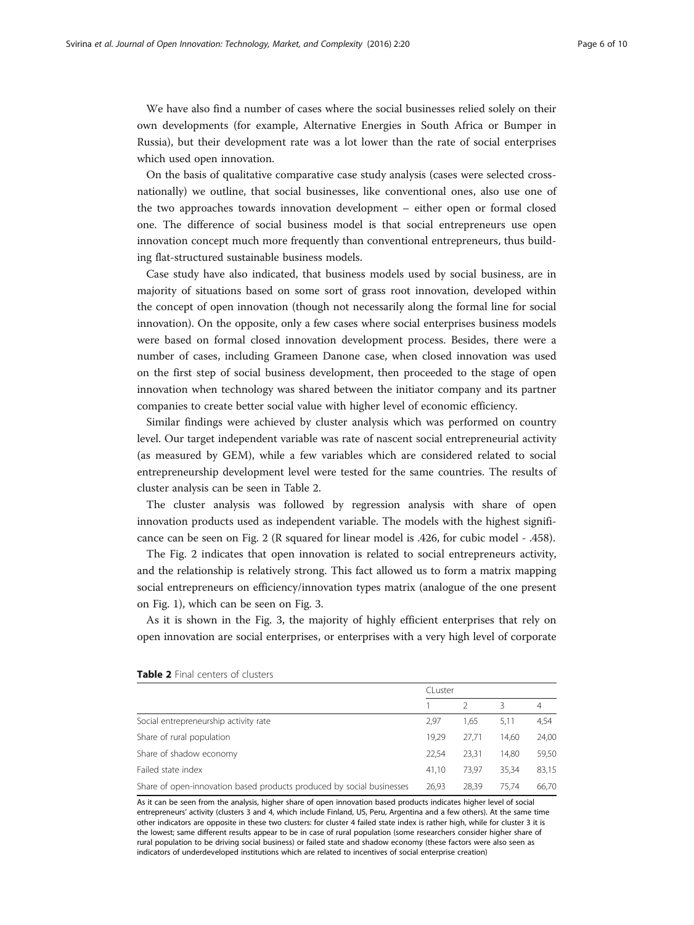We have also find a number of cases where the social businesses relied solely on their own developments (for example, Alternative Energies in South Africa or Bumper in Russia), but their development rate was a lot lower than the rate of social enterprises which used open innovation.

On the basis of qualitative comparative case study analysis (cases were selected crossnationally) we outline, that social businesses, like conventional ones, also use one of the two approaches towards innovation development – either open or formal closed one. The difference of social business model is that social entrepreneurs use open innovation concept much more frequently than conventional entrepreneurs, thus building flat-structured sustainable business models.

Case study have also indicated, that business models used by social business, are in majority of situations based on some sort of grass root innovation, developed within the concept of open innovation (though not necessarily along the formal line for social innovation). On the opposite, only a few cases where social enterprises business models were based on formal closed innovation development process. Besides, there were a number of cases, including Grameen Danone case, when closed innovation was used on the first step of social business development, then proceeded to the stage of open innovation when technology was shared between the initiator company and its partner companies to create better social value with higher level of economic efficiency.

Similar findings were achieved by cluster analysis which was performed on country level. Our target independent variable was rate of nascent social entrepreneurial activity (as measured by GEM), while a few variables which are considered related to social entrepreneurship development level were tested for the same countries. The results of cluster analysis can be seen in Table 2.

The cluster analysis was followed by regression analysis with share of open innovation products used as independent variable. The models with the highest significance can be seen on Fig. [2](#page-6-0) (R squared for linear model is .426, for cubic model - .458).

The Fig. [2](#page-6-0) indicates that open innovation is related to social entrepreneurs activity, and the relationship is relatively strong. This fact allowed us to form a matrix mapping social entrepreneurs on efficiency/innovation types matrix (analogue of the one present on Fig. [1](#page-4-0)), which can be seen on Fig. [3.](#page-6-0)

As it is shown in the Fig. [3](#page-6-0), the majority of highly efficient enterprises that rely on open innovation are social enterprises, or enterprises with a very high level of corporate

|                                                                       | CLuster |       |       |       |
|-----------------------------------------------------------------------|---------|-------|-------|-------|
|                                                                       |         |       | 3     | 4     |
| Social entrepreneurship activity rate                                 | 2.97    | 1,65  | 5,11  | 4,54  |
| Share of rural population                                             |         | 27.71 | 14.60 | 24,00 |
| Share of shadow economy                                               |         | 23.31 | 14.80 | 59,50 |
| Failed state index                                                    |         | 73.97 | 35,34 | 83,15 |
| Share of open-innovation based products produced by social businesses | 26,93   | 28.39 | 75.74 | 66,70 |

#### Table 2 Final centers of clusters

As it can be seen from the analysis, higher share of open innovation based products indicates higher level of social entrepreneurs' activity (clusters 3 and 4, which include Finland, US, Peru, Argentina and a few others). At the same time other indicators are opposite in these two clusters: for cluster 4 failed state index is rather high, while for cluster 3 it is the lowest; same different results appear to be in case of rural population (some researchers consider higher share of rural population to be driving social business) or failed state and shadow economy (these factors were also seen as indicators of underdeveloped institutions which are related to incentives of social enterprise creation)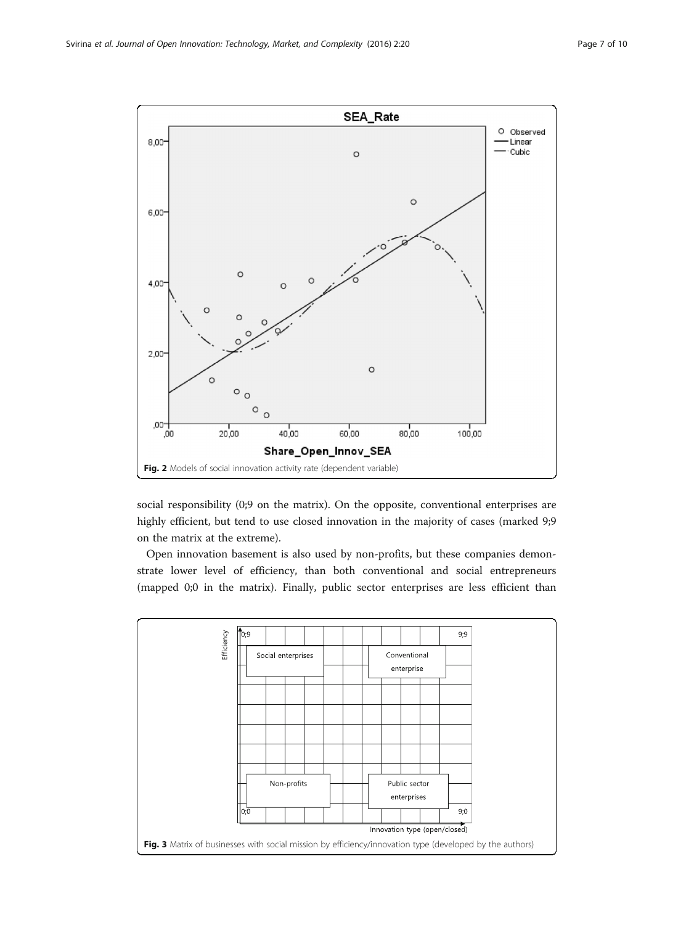<span id="page-6-0"></span>

social responsibility (0;9 on the matrix). On the opposite, conventional enterprises are highly efficient, but tend to use closed innovation in the majority of cases (marked 9;9 on the matrix at the extreme).

Open innovation basement is also used by non-profits, but these companies demonstrate lower level of efficiency, than both conventional and social entrepreneurs (mapped 0;0 in the matrix). Finally, public sector enterprises are less efficient than

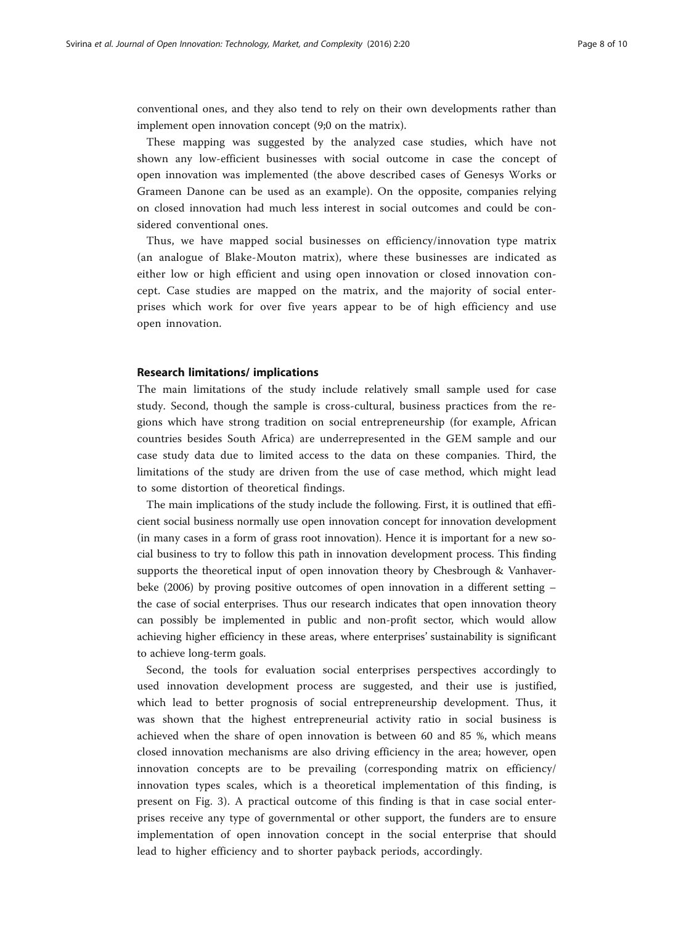conventional ones, and they also tend to rely on their own developments rather than implement open innovation concept (9;0 on the matrix).

These mapping was suggested by the analyzed case studies, which have not shown any low-efficient businesses with social outcome in case the concept of open innovation was implemented (the above described cases of Genesys Works or Grameen Danone can be used as an example). On the opposite, companies relying on closed innovation had much less interest in social outcomes and could be considered conventional ones.

Thus, we have mapped social businesses on efficiency/innovation type matrix (an analogue of Blake-Mouton matrix), where these businesses are indicated as either low or high efficient and using open innovation or closed innovation concept. Case studies are mapped on the matrix, and the majority of social enterprises which work for over five years appear to be of high efficiency and use open innovation.

### Research limitations/ implications

The main limitations of the study include relatively small sample used for case study. Second, though the sample is cross-cultural, business practices from the regions which have strong tradition on social entrepreneurship (for example, African countries besides South Africa) are underrepresented in the GEM sample and our case study data due to limited access to the data on these companies. Third, the limitations of the study are driven from the use of case method, which might lead to some distortion of theoretical findings.

The main implications of the study include the following. First, it is outlined that efficient social business normally use open innovation concept for innovation development (in many cases in a form of grass root innovation). Hence it is important for a new social business to try to follow this path in innovation development process. This finding supports the theoretical input of open innovation theory by Chesbrough & Vanhaverbeke ([2006](#page-8-0)) by proving positive outcomes of open innovation in a different setting – the case of social enterprises. Thus our research indicates that open innovation theory can possibly be implemented in public and non-profit sector, which would allow achieving higher efficiency in these areas, where enterprises' sustainability is significant to achieve long-term goals.

Second, the tools for evaluation social enterprises perspectives accordingly to used innovation development process are suggested, and their use is justified, which lead to better prognosis of social entrepreneurship development. Thus, it was shown that the highest entrepreneurial activity ratio in social business is achieved when the share of open innovation is between 60 and 85 %, which means closed innovation mechanisms are also driving efficiency in the area; however, open innovation concepts are to be prevailing (corresponding matrix on efficiency/ innovation types scales, which is a theoretical implementation of this finding, is present on Fig. [3\)](#page-6-0). A practical outcome of this finding is that in case social enterprises receive any type of governmental or other support, the funders are to ensure implementation of open innovation concept in the social enterprise that should lead to higher efficiency and to shorter payback periods, accordingly.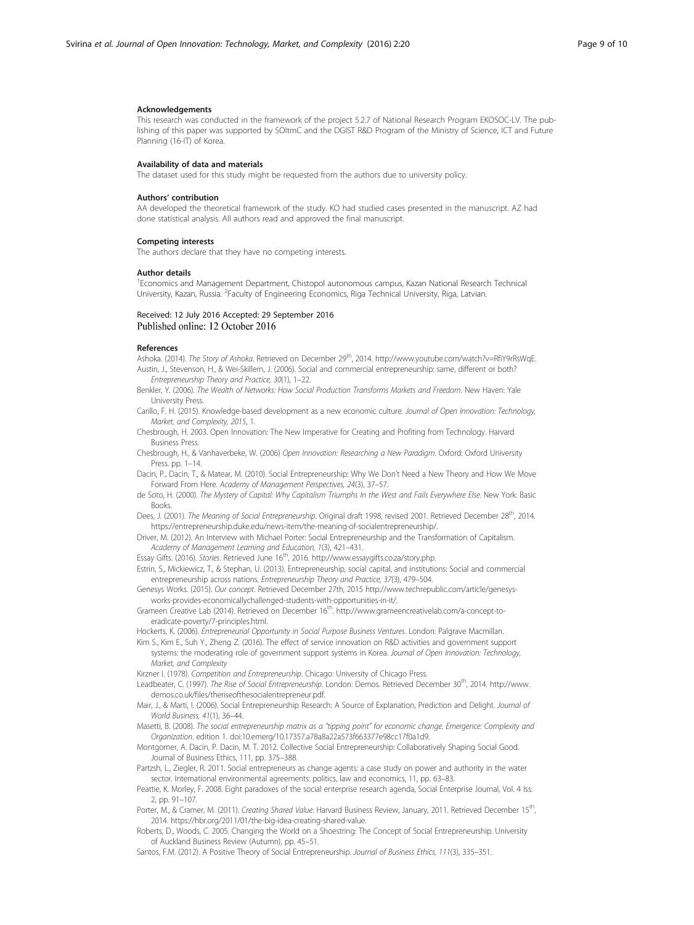#### <span id="page-8-0"></span>Acknowledgements

This research was conducted in the framework of the project 5.2.7 of National Research Program EKOSOC-LV. The publishing of this paper was supported by SOItmC and the DGIST R&D Program of the Ministry of Science, ICT and Future Planning (16-IT) of Korea.

#### Availability of data and materials

The dataset used for this study might be requested from the authors due to university policy.

#### Authors' contribution

AA developed the theoretical framework of the study. KO had studied cases presented in the manuscript. AZ had done statistical analysis. All authors read and approved the final manuscript.

#### Competing interests

The authors declare that they have no competing interests.

#### Author details

<sup>1</sup> Economics and Management Department, Chistopol autonomous campus, Kazan National Research Technical University, Kazan, Russia. <sup>2</sup>Faculty of Engineering Economics, Riga Technical University, Riga, Latvian.

#### Received: 12 July 2016 Accepted: 29 September 2016 Published online: 12 October 2016

#### References

Ashoka. (2014). The Story of Ashoka. Retrieved on December 29th, 2014.<http://www.youtube.com/watch?v=RfiY9rRsWqE>. Austin, J., Stevenson, H., & Wei-Skillern, J. (2006). Social and commercial entrepreneurship: same, different or both?

- Entrepreneurship Theory and Practice, 30(1), 1–22.
- Benkler, Y. (2006). The Wealth of Networks: How Social Production Transforms Markets and Freedom. New Haven: Yale University Press.
- Carillo, F. H. (2015). Knowledge-based development as a new economic culture. Journal of Open Innovation: Technology, Market, and Complexity, 2015, 1.
- Chesbrough, H. 2003. Open Innovation: The New Imperative for Creating and Profiting from Technology. Harvard Business Press.
- Chesbrough, H., & Vanhaverbeke, W. (2006) Open Innovation: Researching a New Paradigm. Oxford: Oxford University Press. pp. 1–14.
- Dacin, P., Dacin, T., & Matear, M. (2010). Social Entrepreneurship: Why We Don't Need a New Theory and How We Move Forward From Here. Academy of Management Perspectives, 24(3), 37–57.
- de Soto, H. (2000). The Mystery of Capital: Why Capitalism Triumphs In the West and Fails Everywhere Else. New York: Basic Books.
- Dees, J. (2001). The Meaning of Social Entrepreneurship. Original draft 1998, revised 2001. Retrieved December 28<sup>th</sup>, 2014. [https://entrepreneurship.duke.edu/news-item/the-meaning-of-socialentrepreneurship/.](https://entrepreneurship.duke.edu/news-item/the-meaning-of-socialentrepreneurship/)
- Driver, M. (2012). An Interview with Michael Porter: Social Entrepreneurship and the Transformation of Capitalism. Academy of Management Learning and Education, 1(3), 421–431.
- Essay Gifts. (2016). Stories. Retrieved June 16<sup>th</sup>, 2016.<http://www.essaygifts.co.za/story.php>.
- Estrin, S., Mickiewicz, T., & Stephan, U. (2013). Entrepreneurship, social capital, and institutions: Social and commercial entrepreneurship across nations. Entrepreneurship Theory and Practice, 37(3), 479–504.
- Genesys Works. (2015). Our concept. Retrieved December 27th, 2015 [http://www.techrepublic.com/article/genesys](http://www.techrepublic.com/article/genesys-works-provides-economicallychallenged-students-with-opportunities-in-it/)[works-provides-economicallychallenged-students-with-opportunities-in-it/](http://www.techrepublic.com/article/genesys-works-provides-economicallychallenged-students-with-opportunities-in-it/).
- Grameen Creative Lab (2014). Retrieved on December 16<sup>th</sup>. [http://www.grameencreativelab.com/a-concept-to](http://www.grameencreativelab.com/a-concept-to-eradicate-poverty/7-principles.html)[eradicate-poverty/7-principles.html.](http://www.grameencreativelab.com/a-concept-to-eradicate-poverty/7-principles.html)
- Hockerts, K. (2006). Entrepreneurial Opportunity in Social Purpose Business Ventures. London: Palgrave Macmillan.
- Kim S., Kim E., Suh Y., Zheng Z. (2016). The effect of service innovation on R&D activities and government support systems: the moderating role of government support systems in Korea. Journal of Open Innovation: Technology, Market, and Complexity
- Kirzner I. (1978). Competition and Entrepreneurship. Chicago: University of Chicago Press.
- Leadbeater, C. (1997). The Rise of Social Entrepreneurship. London: Demos. Retrieved December 30<sup>th</sup>, 2014. [http://www.](http://www.demos.co.uk/files/theriseofthesocialentrepreneur.pdf) [demos.co.uk/files/theriseofthesocialentrepreneur.pdf](http://www.demos.co.uk/files/theriseofthesocialentrepreneur.pdf).
- Mair, J., & Marti, I. (2006). Social Entrepreneurship Research: A Source of Explanation, Prediction and Delight. Journal of World Business, 41(1), 36–44.
- Masetti, B. (2008). The social entrepreneurship matrix as a "tipping point" for economic change. Emergence: Complexity and Organization. edition 1. doi:10.emerg/10.17357.a78a8a22a573f663377e98cc17f0a1d9.

Montgomer, A. Dacin, P. Dacin, M. T. 2012. Collective Social Entrepreneurship: Collaboratively Shaping Social Good. Journal of Business Ethics, 111, pp. 375–388.

- Partzsh, L., Ziegler, R. 2011. Social entrepreneurs as change agents: a case study on power and authority in the water sector. International environmental agreements: politics, law and economics, 11, pp. 63–83.
- Peattie, K. Morley, F. 2008. Eight paradoxes of the social enterprise research agenda, Social Enterprise Journal, Vol. 4 Iss: 2, pp. 91–107.
- Porter, M., & Cramer, M. (2011). Creating Shared Value. Harvard Business Review, January, 2011. Retrieved December 15<sup>th</sup>, 2014. [https://hbr.org/2011/01/the-big-idea-creating-shared-value.](https://hbr.org/2011/01/the-big-idea-creating-shared-value)
- Roberts, D., Woods, C. 2005. Changing the World on a Shoestring: The Concept of Social Entrepreneurship. University of Auckland Business Review (Autumn), pp. 45–51.
- Santos, F.M. (2012). A Positive Theory of Social Entrepreneurship. Journal of Business Ethics, 111(3), 335–351.